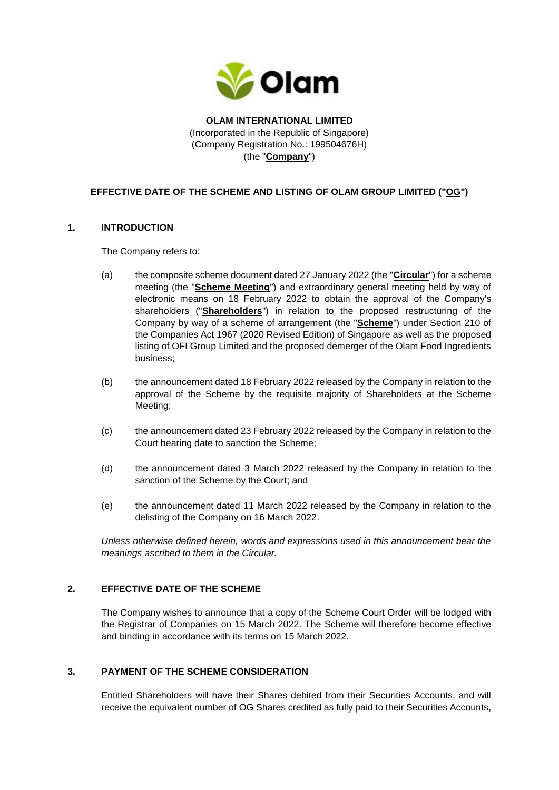

**OLAM INTERNATIONAL LIMITED** (Incorporated in the Republic of Singapore) (Company Registration No.: 199504676H) (the "**Company**")

# **EFFECTIVE DATE OF THE SCHEME AND LISTING OF OLAM GROUP LIMITED ("OG")**

#### **1. INTRODUCTION**

The Company refers to:

- (a) the composite scheme document dated 27 January 2022 (the "**Circular**") for a scheme meeting (the "**Scheme Meeting**") and extraordinary general meeting held by way of electronic means on 18 February 2022 to obtain the approval of the Company's shareholders ("**Shareholders**") in relation to the proposed restructuring of the Company by way of a scheme of arrangement (the "**Scheme**") under Section 210 of the Companies Act 1967 (2020 Revised Edition) of Singapore as well as the proposed listing of OFI Group Limited and the proposed demerger of the Olam Food Ingredients business;
- (b) the announcement dated 18 February 2022 released by the Company in relation to the approval of the Scheme by the requisite majority of Shareholders at the Scheme Meeting;
- (c) the announcement dated 23 February 2022 released by the Company in relation to the Court hearing date to sanction the Scheme;
- (d) the announcement dated 3 March 2022 released by the Company in relation to the sanction of the Scheme by the Court; and
- (e) the announcement dated 11 March 2022 released by the Company in relation to the delisting of the Company on 16 March 2022.

*Unless otherwise defined herein, words and expressions used in this announcement bear the meanings ascribed to them in the Circular.*

### **2. EFFECTIVE DATE OF THE SCHEME**

The Company wishes to announce that a copy of the Scheme Court Order will be lodged with the Registrar of Companies on 15 March 2022. The Scheme will therefore become effective and binding in accordance with its terms on 15 March 2022.

## **3. PAYMENT OF THE SCHEME CONSIDERATION**

Entitled Shareholders will have their Shares debited from their Securities Accounts, and will receive the equivalent number of OG Shares credited as fully paid to their Securities Accounts,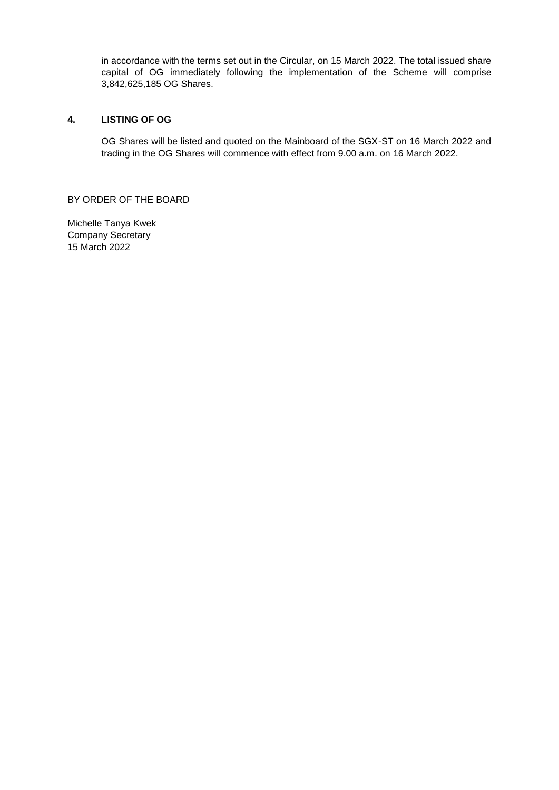in accordance with the terms set out in the Circular, on 15 March 2022. The total issued share capital of OG immediately following the implementation of the Scheme will comprise 3,842,625,185 OG Shares.

## **4. LISTING OF OG**

OG Shares will be listed and quoted on the Mainboard of the SGX-ST on 16 March 2022 and trading in the OG Shares will commence with effect from 9.00 a.m. on 16 March 2022.

BY ORDER OF THE BOARD

Michelle Tanya Kwek Company Secretary 15 March 2022